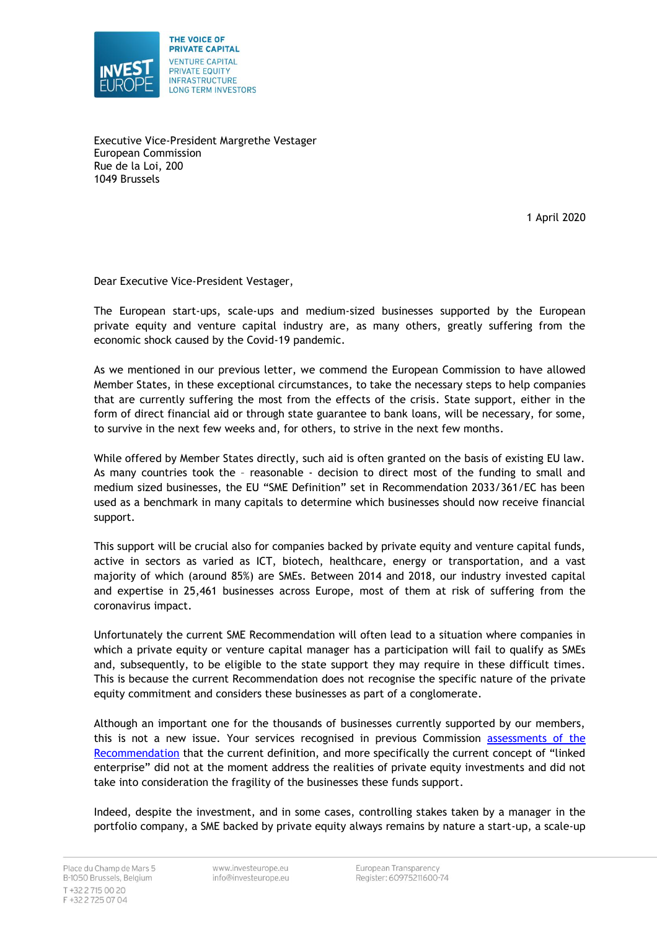

Executive Vice-President Margrethe Vestager European Commission Rue de la Loi, 200 1049 Brussels

1 April 2020

Dear Executive Vice-President Vestager,

The European start-ups, scale-ups and medium-sized businesses supported by the European private equity and venture capital industry are, as many others, greatly suffering from the economic shock caused by the Covid-19 pandemic.

As we mentioned in our previous letter, we commend the European Commission to have allowed Member States, in these exceptional circumstances, to take the necessary steps to help companies that are currently suffering the most from the effects of the crisis. State support, either in the form of direct financial aid or through state guarantee to bank loans, will be necessary, for some, to survive in the next few weeks and, for others, to strive in the next few months.

While offered by Member States directly, such aid is often granted on the basis of existing EU law. As many countries took the – reasonable - decision to direct most of the funding to small and medium sized businesses, the EU "SME Definition" set in Recommendation 2033/361/EC has been used as a benchmark in many capitals to determine which businesses should now receive financial support.

This support will be crucial also for companies backed by private equity and venture capital funds, active in sectors as varied as ICT, biotech, healthcare, energy or transportation, and a vast majority of which (around 85%) are SMEs. Between 2014 and 2018, our industry invested capital and expertise in 25,461 businesses across Europe, most of them at risk of suffering from the coronavirus impact.

Unfortunately the current SME Recommendation will often lead to a situation where companies in which a private equity or venture capital manager has a participation will fail to qualify as SMEs and, subsequently, to be eligible to the state support they may require in these difficult times. This is because the current Recommendation does not recognise the specific nature of the private equity commitment and considers these businesses as part of a conglomerate.

Although an important one for the thousands of businesses currently supported by our members, this is not a new issue. Your services recognised in previous Commission [assessments of the](https://ec.europa.eu/info/law/better-regulation/initiatives/ares-2017-2868537_en)  [Recommendation](https://ec.europa.eu/info/law/better-regulation/initiatives/ares-2017-2868537_en) that the current definition, and more specifically the current concept of "linked enterprise" did not at the moment address the realities of private equity investments and did not take into consideration the fragility of the businesses these funds support.

Indeed, despite the investment, and in some cases, controlling stakes taken by a manager in the portfolio company, a SME backed by private equity always remains by nature a start-up, a scale-up